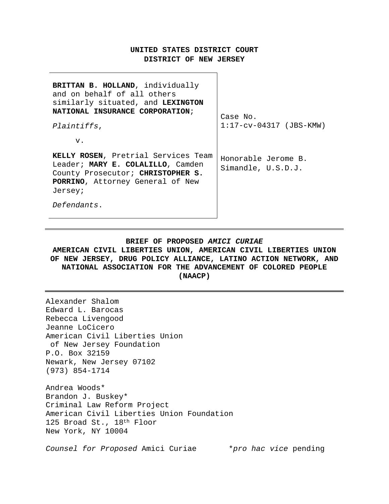### **UNITED STATES DISTRICT COURT DISTRICT OF NEW JERSEY**

┑

| BRITTAN B. HOLLAND, individually<br>and on behalf of all others<br>similarly situated, and LEXINGTON<br>NATIONAL INSURANCE CORPORATION;<br><i>Plaintiffs,</i><br>v.         | Case No.<br>$1:17-cv-04317$ (JBS-KMW)     |
|-----------------------------------------------------------------------------------------------------------------------------------------------------------------------------|-------------------------------------------|
| KELLY ROSEN, Pretrial Services Team<br>Leader; MARY E. COLALILLO, Camden<br>County Prosecutor; CHRISTOPHER S.<br>PORRINO, Attorney General of New<br>Jersey;<br>Defendants. | Honorable Jerome B.<br>Simandle, U.S.D.J. |

### **BRIEF OF PROPOSED** *AMICI CURIAE*

**AMERICAN CIVIL LIBERTIES UNION, AMERICAN CIVIL LIBERTIES UNION OF NEW JERSEY, DRUG POLICY ALLIANCE, LATINO ACTION NETWORK, AND NATIONAL ASSOCIATION FOR THE ADVANCEMENT OF COLORED PEOPLE (NAACP)**

Alexander Shalom Edward L. Barocas Rebecca Livengood Jeanne LoCicero American Civil Liberties Union of New Jersey Foundation P.O. Box 32159 Newark, New Jersey 07102 (973) 854-1714 Andrea Woods\* Brandon J. Buskey\* Criminal Law Reform Project American Civil Liberties Union Foundation 125 Broad St., 18<sup>th</sup> Floor New York, NY 10004

*Counsel for Proposed* Amici Curiae \**pro hac vice* pending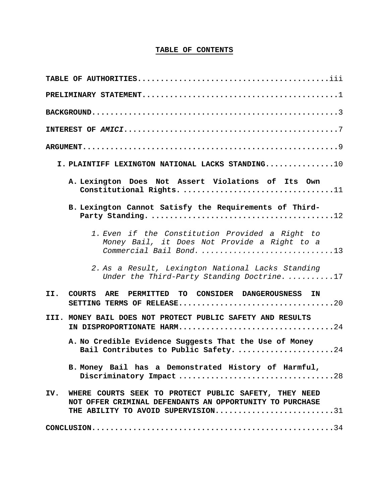## **TABLE OF CONTENTS**

| ${\tt PRELIMINARY\quad STATEMENT.\dots.\dots.\dots.\dots.\dots.\dots.\dots.\dots.\dots\dots}$                                                               |
|-------------------------------------------------------------------------------------------------------------------------------------------------------------|
|                                                                                                                                                             |
|                                                                                                                                                             |
|                                                                                                                                                             |
| I. PLAINTIFF LEXINGTON NATIONAL LACKS STANDING10                                                                                                            |
| A. Lexington Does Not Assert Violations of Its Own<br>Constitutional Rights. 11                                                                             |
| B. Lexington Cannot Satisfy the Requirements of Third-                                                                                                      |
| 1. Even if the Constitution Provided a Right to<br>Money Bail, it Does Not Provide a Right to a<br>Commercial Bail Bond. 13                                 |
| 2. As a Result, Lexington National Lacks Standing<br>Under the Third-Party Standing Doctrine17                                                              |
| COURTS ARE PERMITTED TO CONSIDER DANGEROUSNESS IN<br>II.                                                                                                    |
| III. MONEY BAIL DOES NOT PROTECT PUBLIC SAFETY AND RESULTS<br>IN DISPROPORTIONATE HARM24                                                                    |
| A. No Credible Evidence Suggests That the Use of Money<br>Bail Contributes to Public Safety. 24                                                             |
| B. Money Bail has a Demonstrated History of Harmful,<br>Discriminatory Impact28                                                                             |
| IV. WHERE COURTS SEEK TO PROTECT PUBLIC SAFETY, THEY NEED<br>NOT OFFER CRIMINAL DEFENDANTS AN OPPORTUNITY TO PURCHASE<br>THE ABILITY TO AVOID SUPERVISION31 |
|                                                                                                                                                             |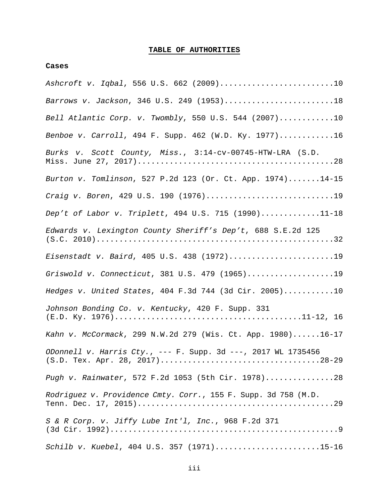## **TABLE OF AUTHORITIES**

### **Cases**

| Ashcroft v. Iqbal, 556 U.S. 662 (2009)10                       |
|----------------------------------------------------------------|
| Barrows v. Jackson, 346 U.S. 249 (1953)18                      |
| Bell Atlantic Corp. v. Twombly, 550 U.S. 544 (2007)10          |
| Benboe v. Carroll, 494 F. Supp. 462 (W.D. Ky. 1977)16          |
| Burks v. Scott County, Miss., 3:14-cv-00745-HTW-LRA (S.D.      |
| Burton v. Tomlinson, 527 P.2d 123 (Or. Ct. App. 1974)14-15     |
| Craig v. Boren, 429 U.S. 190 (1976)19                          |
| Dep't of Labor v. Triplett, 494 U.S. 715 (1990)11-18           |
| Edwards v. Lexington County Sheriff's Dep't, 688 S.E.2d 125    |
| Eisenstadt v. Baird, 405 U.S. 438 (1972)19                     |
| Griswold v. Connecticut, 381 U.S. 479 (1965)19                 |
| Hedges v. United States, 404 F.3d 744 (3d Cir. 2005)10         |
| Johnson Bonding Co. v. Kentucky, 420 F. Supp. 331              |
| Kahn v. McCormack, 299 N.W.2d 279 (Wis. Ct. App. 1980)16-17    |
| ODonnell v. Harris Cty., --- F. Supp. 3d ---, 2017 WL 1735456  |
| Pugh v. Rainwater, 572 F.2d 1053 (5th Cir. 1978)28             |
| Rodriguez v. Providence Cmty. Corr., 155 F. Supp. 3d 758 (M.D. |
| S & R Corp. v. Jiffy Lube Int'l, Inc., 968 F.2d 371            |
| Schilb v. Kuebel, 404 U.S. 357 (1971)15-16                     |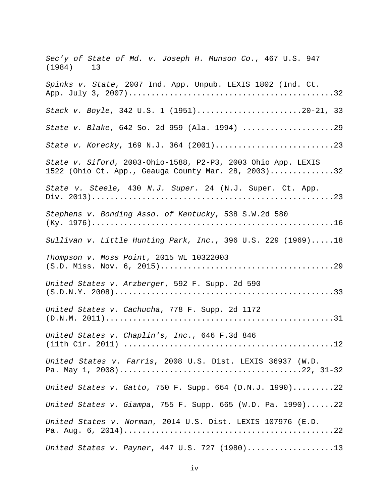*Sec'y of State of Md. v. Joseph H. Munson Co.*, 467 U.S. 947 (1984) 13 *Spinks v. State*, 2007 Ind. App. Unpub. LEXIS 1802 (Ind. Ct. App. July 3, 2007).............................................32 *Stack v. Boyle*, 342 U.S. 1 (1951).......................20-21, 33 *State v. Blake*, 642 So. 2d 959 (Ala. 1994) ....................29 *State v. Korecky*, 169 N.J. 364 (2001)..........................23 *State v. Siford*, 2003-Ohio-1588, P2-P3, 2003 Ohio App. LEXIS 1522 (Ohio Ct. App., Geauga County Mar. 28, 2003)..............32 *State v. Steele,* 430 *N.J. Super.* 24 (N.J. Super. Ct. App. Div. 2013).....................................................23 *Stephens v. Bonding Asso. of Kentucky*, 538 S.W.2d 580 (Ky. 1976).....................................................16 *Sullivan v. Little Hunting Park, Inc.*, 396 U.S. 229 (1969).....18 *Thompson v. Moss Point*, 2015 WL 10322003 (S.D. Miss. Nov. 6, 2015)......................................29 *United States v. Arzberger*, 592 F. Supp. 2d 590 (S.D.N.Y. 2008)................................................33 *United States v. Cachucha*, 778 F. Supp. 2d 1172 (D.N.M. 2011)..................................................31 *United States v. Chaplin's, Inc*., 646 F.3d 846 (11th Cir. 2011) ..............................................12 *United States v. Farris*, 2008 U.S. Dist. LEXIS 36937 (W.D. Pa. May 1, 2008)........................................22, 31-32 *United States v. Gatto*, 750 F. Supp. 664 (D.N.J. 1990).........22 *United States v. Giampa*, 755 F. Supp. 665 (W.D. Pa. 1990)......22 *United States v. Norman*, 2014 U.S. Dist. LEXIS 107976 (E.D. Pa. Aug. 6, 2014)..............................................22 *United States v. Payner*, 447 U.S. 727 (1980)...................13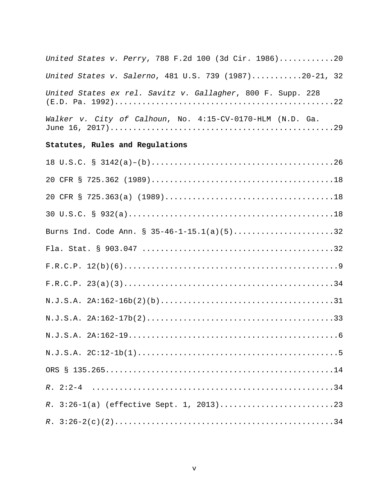| United States v. Perry, 788 F.2d 100 (3d Cir. 1986)20       |
|-------------------------------------------------------------|
| United States v. Salerno, 481 U.S. 739 (1987)20-21, 32      |
| United States ex rel. Savitz v. Gallagher, 800 F. Supp. 228 |
| Walker v. City of Calhoun, No. 4:15-CV-0170-HLM (N.D. Ga.   |
| Statutes, Rules and Regulations                             |
|                                                             |
|                                                             |
|                                                             |
|                                                             |
| Burns Ind. Code Ann. § 35-46-1-15.1(a)(5)32                 |
|                                                             |
|                                                             |
|                                                             |
|                                                             |
|                                                             |
|                                                             |
|                                                             |
|                                                             |
|                                                             |
|                                                             |
|                                                             |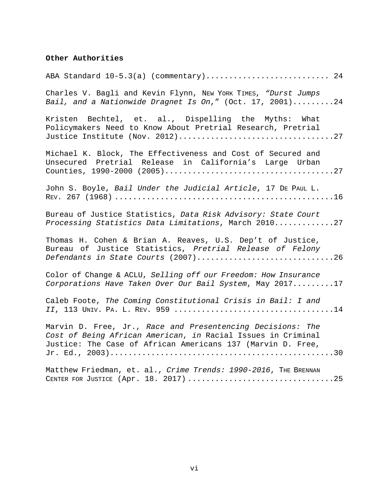# **Other Authorities**

| ABA Standard 10-5.3(a) (commentary) 24                                                                                                                                                    |
|-------------------------------------------------------------------------------------------------------------------------------------------------------------------------------------------|
| Charles V. Bagli and Kevin Flynn, NEW YORK TIMES, "Durst Jumps<br>Bail, and a Nationwide Dragnet Is On," (Oct. 17, 2001)24                                                                |
| Kristen Bechtel, et. al., Dispelling the Myths: What<br>Policymakers Need to Know About Pretrial Research, Pretrial                                                                       |
| Michael K. Block, The Effectiveness and Cost of Secured and<br>Unsecured Pretrial Release in California's Large Urban                                                                     |
| John S. Boyle, Bail Under the Judicial Article, 17 DE PAUL L.                                                                                                                             |
| Bureau of Justice Statistics, Data Risk Advisory: State Court<br>Processing Statistics Data Limitations, March 201027                                                                     |
| Thomas H. Cohen & Brian A. Reaves, U.S. Dep't of Justice,<br>Bureau of Justice Statistics, Pretrial Release of Felony<br>Defendants in State Courts (2007)26                              |
| Color of Change & ACLU, Selling off our Freedom: How Insurance<br>Corporations Have Taken Over Our Bail System, May 201717                                                                |
| Caleb Foote, The Coming Constitutional Crisis in Bail: I and                                                                                                                              |
| Marvin D. Free, Jr., Race and Presentencing Decisions: The<br>Cost of Being African American, in Racial Issues in Criminal<br>Justice: The Case of African Americans 137 (Marvin D. Free, |
| Matthew Friedman, et. al., Crime Trends: 1990-2016, THE BRENNAN                                                                                                                           |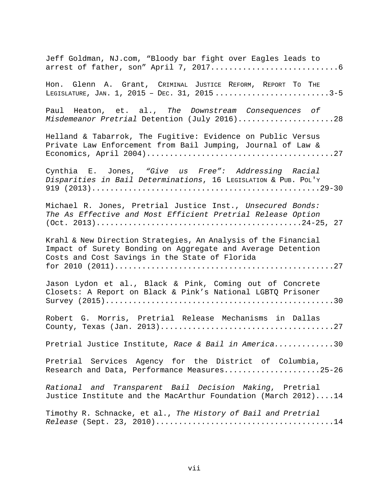| Jeff Goldman, NJ.com, "Bloody bar fight over Eagles leads to                                                                                                                    |
|---------------------------------------------------------------------------------------------------------------------------------------------------------------------------------|
| Hon. Glenn A. Grant, CRIMINAL JUSTICE REFORM, REPORT TO THE                                                                                                                     |
| Paul Heaton, et. al., The Downstream Consequences of<br>Misdemeanor Pretrial Detention (July 2016)28                                                                            |
| Helland & Tabarrok, The Fugitive: Evidence on Public Versus<br>Private Law Enforcement from Bail Jumping, Journal of Law &                                                      |
| Cynthia E. Jones, "Give us Free": Addressing Racial<br>Disparities in Bail Determinations, 16 LEGISLATION & PUB. POL'Y                                                          |
| Michael R. Jones, Pretrial Justice Inst., Unsecured Bonds:<br>The As Effective and Most Efficient Pretrial Release Option                                                       |
| Krahl & New Direction Strategies, An Analysis of the Financial<br>Impact of Surety Bonding on Aggregate and Average Detention<br>Costs and Cost Savings in the State of Florida |
| Jason Lydon et al., Black & Pink, Coming out of Concrete<br>Closets: A Report on Black & Pink's National LGBTQ Prisoner                                                         |
| Robert G. Morris, Pretrial Release Mechanisms in Dallas                                                                                                                         |
| Pretrial Justice Institute, Race & Bail in America30                                                                                                                            |
| Pretrial Services Agency for the District of Columbia,<br>Research and Data, Performance Measures25-26                                                                          |
| Rational and Transparent Bail Decision Making, Pretrial<br>Justice Institute and the MacArthur Foundation (March 2012)14                                                        |
| Timothy R. Schnacke, et al., The History of Bail and Pretrial                                                                                                                   |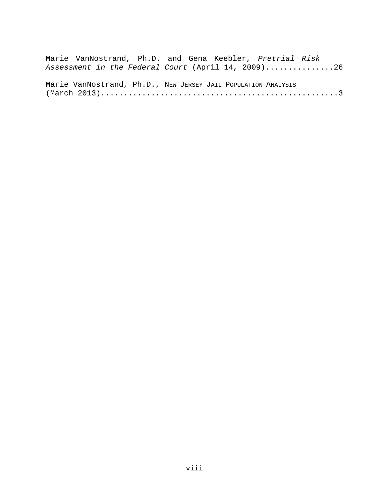|  |  |  |  | Marie VanNostrand, Ph.D. and Gena Keebler, Pretrial Risk      |  |
|--|--|--|--|---------------------------------------------------------------|--|
|  |  |  |  | Assessment in the Federal Court (April 14, 2009)26            |  |
|  |  |  |  |                                                               |  |
|  |  |  |  | Marie VanNostrand, Ph.D., NEW JERSEY JAIL POPULATION ANALYSIS |  |
|  |  |  |  |                                                               |  |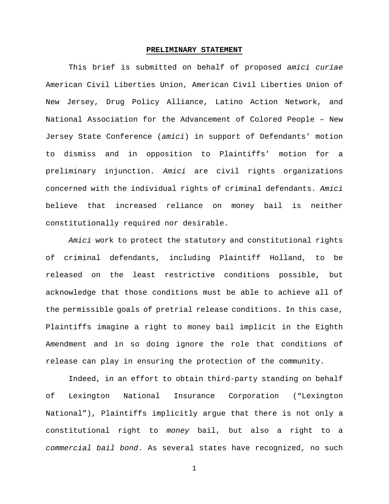### **PRELIMINARY STATEMENT**

This brief is submitted on behalf of proposed *amici curiae* American Civil Liberties Union, American Civil Liberties Union of New Jersey, Drug Policy Alliance, Latino Action Network, and National Association for the Advancement of Colored People – New Jersey State Conference (*amici*) in support of Defendants' motion to dismiss and in opposition to Plaintiffs' motion for a preliminary injunction. *Amici* are civil rights organizations concerned with the individual rights of criminal defendants. *Amici* believe that increased reliance on money bail is neither constitutionally required nor desirable.

*Amici* work to protect the statutory and constitutional rights of criminal defendants, including Plaintiff Holland, to be released on the least restrictive conditions possible, but acknowledge that those conditions must be able to achieve all of the permissible goals of pretrial release conditions. In this case, Plaintiffs imagine a right to money bail implicit in the Eighth Amendment and in so doing ignore the role that conditions of release can play in ensuring the protection of the community.

Indeed, in an effort to obtain third-party standing on behalf of Lexington National Insurance Corporation ("Lexington National"), Plaintiffs implicitly argue that there is not only a constitutional right to *money* bail, but also a right to a *commercial bail bond*. As several states have recognized, no such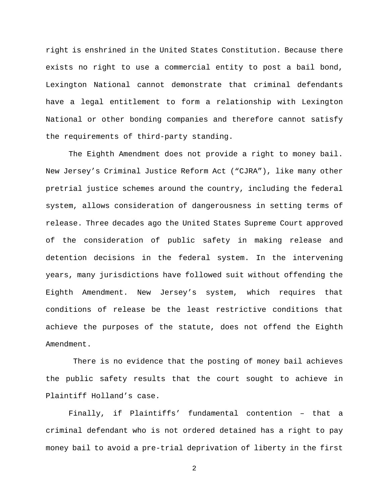right is enshrined in the United States Constitution. Because there exists no right to use a commercial entity to post a bail bond, Lexington National cannot demonstrate that criminal defendants have a legal entitlement to form a relationship with Lexington National or other bonding companies and therefore cannot satisfy the requirements of third-party standing.

The Eighth Amendment does not provide a right to money bail. New Jersey's Criminal Justice Reform Act ("CJRA"), like many other pretrial justice schemes around the country, including the federal system, allows consideration of dangerousness in setting terms of release. Three decades ago the United States Supreme Court approved of the consideration of public safety in making release and detention decisions in the federal system. In the intervening years, many jurisdictions have followed suit without offending the Eighth Amendment. New Jersey's system, which requires that conditions of release be the least restrictive conditions that achieve the purposes of the statute, does not offend the Eighth Amendment.

There is no evidence that the posting of money bail achieves the public safety results that the court sought to achieve in Plaintiff Holland's case.

Finally, if Plaintiffs' fundamental contention – that a criminal defendant who is not ordered detained has a right to pay money bail to avoid a pre-trial deprivation of liberty in the first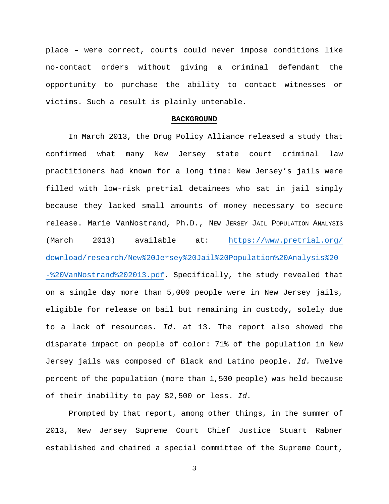place – were correct, courts could never impose conditions like no-contact orders without giving a criminal defendant the opportunity to purchase the ability to contact witnesses or victims. Such a result is plainly untenable.

#### **BACKGROUND**

In March 2013, the Drug Policy Alliance released a study that confirmed what many New Jersey state court criminal law practitioners had known for a long time: New Jersey's jails were filled with low-risk pretrial detainees who sat in jail simply because they lacked small amounts of money necessary to secure release. Marie VanNostrand, Ph.D., NEW JERSEY JAIL POPULATION ANALYSIS (March 2013) available at: [https://www.pretrial.org/](https://www.pretrial.org/%20download/research/New%20Jersey%20Jail%20Population%20Analysis%20-%20VanNostrand%202013.pdf) [download/research/New%20Jersey%20Jail%20Population%20Analysis%20](https://www.pretrial.org/%20download/research/New%20Jersey%20Jail%20Population%20Analysis%20-%20VanNostrand%202013.pdf) [-%20VanNostrand%202013.pdf.](https://www.pretrial.org/%20download/research/New%20Jersey%20Jail%20Population%20Analysis%20-%20VanNostrand%202013.pdf) Specifically, the study revealed that on a single day more than 5,000 people were in New Jersey jails, eligible for release on bail but remaining in custody, solely due to a lack of resources. *Id.* at 13. The report also showed the disparate impact on people of color: 71% of the population in New Jersey jails was composed of Black and Latino people. *Id.* Twelve percent of the population (more than 1,500 people) was held because of their inability to pay \$2,500 or less. *Id.*

Prompted by that report, among other things, in the summer of 2013, New Jersey Supreme Court Chief Justice Stuart Rabner established and chaired a special committee of the Supreme Court,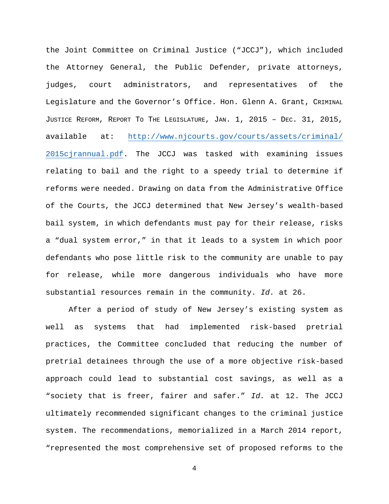the Joint Committee on Criminal Justice ("JCCJ"), which included the Attorney General, the Public Defender, private attorneys, judges, court administrators, and representatives of the Legislature and the Governor's Office. Hon. Glenn A. Grant, CRIMINAL JUSTICE REFORM, REPORT TO THE LEGISLATURE, JAN. 1, 2015 – DEC. 31, 2015, available at: [http://www.njcourts.gov/courts/assets/criminal/](http://www.njcourts.gov/courts/assets/criminal/%202015cjrannual.pdf) [2015cjrannual.pdf.](http://www.njcourts.gov/courts/assets/criminal/%202015cjrannual.pdf) The JCCJ was tasked with examining issues relating to bail and the right to a speedy trial to determine if reforms were needed. Drawing on data from the Administrative Office of the Courts, the JCCJ determined that New Jersey's wealth-based bail system, in which defendants must pay for their release, risks a "dual system error," in that it leads to a system in which poor defendants who pose little risk to the community are unable to pay for release, while more dangerous individuals who have more substantial resources remain in the community. *Id.* at 26.

After a period of study of New Jersey's existing system as well as systems that had implemented risk-based pretrial practices, the Committee concluded that reducing the number of pretrial detainees through the use of a more objective risk-based approach could lead to substantial cost savings, as well as a "society that is freer, fairer and safer." *Id.* at 12. The JCCJ ultimately recommended significant changes to the criminal justice system. The recommendations, memorialized in a March 2014 report, "represented the most comprehensive set of proposed reforms to the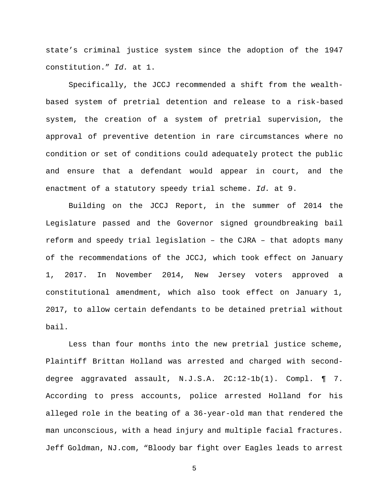state's criminal justice system since the adoption of the 1947 constitution." *Id.* at 1.

Specifically, the JCCJ recommended a shift from the wealthbased system of pretrial detention and release to a risk-based system, the creation of a system of pretrial supervision, the approval of preventive detention in rare circumstances where no condition or set of conditions could adequately protect the public and ensure that a defendant would appear in court, and the enactment of a statutory speedy trial scheme. *Id.* at 9.

Building on the JCCJ Report, in the summer of 2014 the Legislature passed and the Governor signed groundbreaking bail reform and speedy trial legislation – the CJRA – that adopts many of the recommendations of the JCCJ, which took effect on January 1, 2017. In November 2014, New Jersey voters approved a constitutional amendment, which also took effect on January 1, 2017, to allow certain defendants to be detained pretrial without bail.

Less than four months into the new pretrial justice scheme, Plaintiff Brittan Holland was arrested and charged with seconddegree aggravated assault, N.J.S.A. 2C:12-1b(1). Compl. ¶ 7. According to press accounts, police arrested Holland for his alleged role in the beating of a 36-year-old man that rendered the man unconscious, with a head injury and multiple facial fractures. Jeff Goldman, NJ.com, "Bloody bar fight over Eagles leads to arrest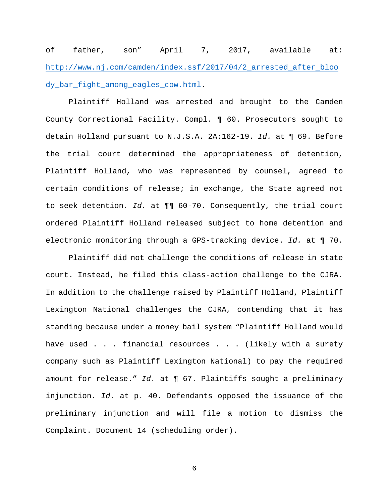of father, son" April 7, 2017, available at: [http://www.nj.com/camden/index.ssf/2017/04/2\\_arrested\\_after\\_bloo](http://www.nj.com/camden/index.ssf/2017/04/2_arrested_after_bloody_bar_fight_among_eagles_cow.html) [dy\\_bar\\_fight\\_among\\_eagles\\_cow.html.](http://www.nj.com/camden/index.ssf/2017/04/2_arrested_after_bloody_bar_fight_among_eagles_cow.html)

Plaintiff Holland was arrested and brought to the Camden County Correctional Facility. Compl. ¶ 60. Prosecutors sought to detain Holland pursuant to N.J.S.A. 2A:162-19. *Id.* at ¶ 69. Before the trial court determined the appropriateness of detention, Plaintiff Holland, who was represented by counsel, agreed to certain conditions of release; in exchange, the State agreed not to seek detention. *Id.* at ¶¶ 60-70. Consequently, the trial court ordered Plaintiff Holland released subject to home detention and electronic monitoring through a GPS-tracking device. *Id.* at ¶ 70.

Plaintiff did not challenge the conditions of release in state court. Instead, he filed this class-action challenge to the CJRA. In addition to the challenge raised by Plaintiff Holland, Plaintiff Lexington National challenges the CJRA, contending that it has standing because under a money bail system "Plaintiff Holland would have used . . . financial resources . . . (likely with a surety company such as Plaintiff Lexington National) to pay the required amount for release." *Id.* at ¶ 67. Plaintiffs sought a preliminary injunction. *Id.* at p. 40. Defendants opposed the issuance of the preliminary injunction and will file a motion to dismiss the Complaint. Document 14 (scheduling order).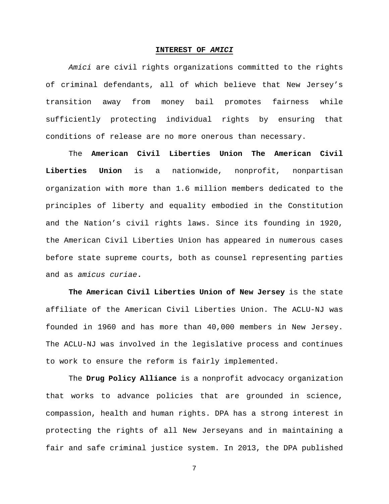#### **INTEREST OF** *AMICI*

*Amici* are civil rights organizations committed to the rights of criminal defendants, all of which believe that New Jersey's transition away from money bail promotes fairness while sufficiently protecting individual rights by ensuring that conditions of release are no more onerous than necessary.

The **American Civil Liberties Union The American Civil Liberties Union** is a nationwide, nonprofit, nonpartisan organization with more than 1.6 million members dedicated to the principles of liberty and equality embodied in the Constitution and the Nation's civil rights laws. Since its founding in 1920, the American Civil Liberties Union has appeared in numerous cases before state supreme courts, both as counsel representing parties and as *amicus curiae***.**

**The American Civil Liberties Union of New Jersey** is the state affiliate of the American Civil Liberties Union. The ACLU-NJ was founded in 1960 and has more than 40,000 members in New Jersey. The ACLU-NJ was involved in the legislative process and continues to work to ensure the reform is fairly implemented.

The **Drug Policy Alliance** is a nonprofit advocacy organization that works to advance policies that are grounded in science, compassion, health and human rights. DPA has a strong interest in protecting the rights of all New Jerseyans and in maintaining a fair and safe criminal justice system. In 2013, the DPA published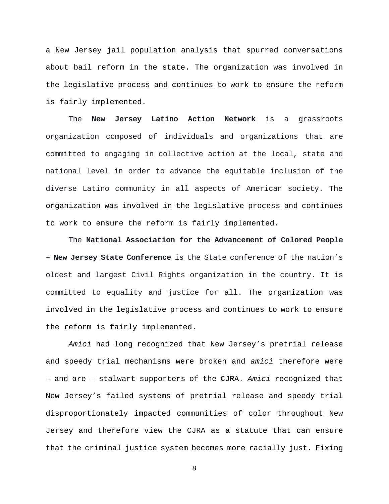a New Jersey jail population analysis that spurred conversations about bail reform in the state. The organization was involved in the legislative process and continues to work to ensure the reform is fairly implemented.

The **New Jersey Latino Action Network** is a grassroots organization composed of individuals and organizations that are committed to engaging in collective action at the local, state and national level in order to advance the equitable inclusion of the diverse Latino community in all aspects of American society. The organization was involved in the legislative process and continues to work to ensure the reform is fairly implemented.

The **National Association for the Advancement of Colored People – New Jersey State Conference** is the State conference of the nation's oldest and largest Civil Rights organization in the country. It is committed to equality and justice for all. The organization was involved in the legislative process and continues to work to ensure the reform is fairly implemented.

*Amici* had long recognized that New Jersey's pretrial release and speedy trial mechanisms were broken and *amici* therefore were – and are – stalwart supporters of the CJRA. *Amici* recognized that New Jersey's failed systems of pretrial release and speedy trial disproportionately impacted communities of color throughout New Jersey and therefore view the CJRA as a statute that can ensure that the criminal justice system becomes more racially just. Fixing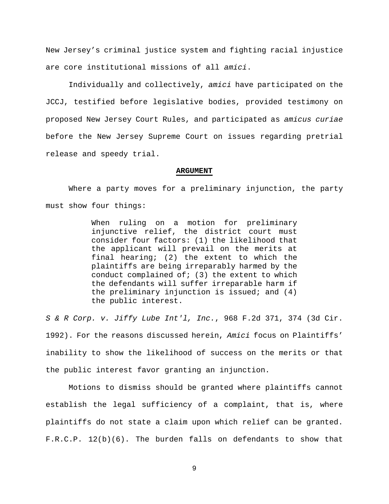New Jersey's criminal justice system and fighting racial injustice are core institutional missions of all *amici*.

Individually and collectively, *amici* have participated on the JCCJ, testified before legislative bodies, provided testimony on proposed New Jersey Court Rules, and participated as *amicus curiae* before the New Jersey Supreme Court on issues regarding pretrial release and speedy trial.

#### **ARGUMENT**

Where a party moves for a preliminary injunction, the party must show four things:

> When ruling on a motion for preliminary injunctive relief, the district court must consider four factors: (1) the likelihood that the applicant will prevail on the merits at final hearing; (2) the extent to which the plaintiffs are being irreparably harmed by the conduct complained of;  $(3)$  the extent to which the defendants will suffer irreparable harm if the preliminary injunction is issued; and (4) the public interest.

*S & R Corp. v. Jiffy Lube Int'l, Inc.*, 968 F.2d 371, 374 (3d Cir. 1992). For the reasons discussed herein, *Amici* focus on Plaintiffs' inability to show the likelihood of success on the merits or that the public interest favor granting an injunction.

Motions to dismiss should be granted where plaintiffs cannot establish the legal sufficiency of a complaint, that is, where plaintiffs do not state a claim upon which relief can be granted. F.R.C.P. 12(b)(6). The burden falls on defendants to show that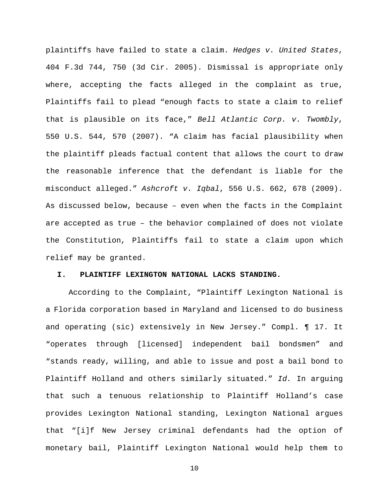plaintiffs have failed to state a claim. *Hedges v. United States*, 404 F.3d 744, 750 (3d Cir. 2005). Dismissal is appropriate only where, accepting the facts alleged in the complaint as true, Plaintiffs fail to plead "enough facts to state a claim to relief that is plausible on its face," *Bell Atlantic Corp. v. Twombly*, 550 U.S. 544, 570 (2007). "A claim has facial plausibility when the plaintiff pleads factual content that allows the court to draw the reasonable inference that the defendant is liable for the misconduct alleged." *Ashcroft v. Iqbal*, 556 U.S. 662, 678 (2009). As discussed below, because – even when the facts in the Complaint are accepted as true – the behavior complained of does not violate the Constitution, Plaintiffs fail to state a claim upon which relief may be granted.

### **I. PLAINTIFF LEXINGTON NATIONAL LACKS STANDING.**

According to the Complaint, "Plaintiff Lexington National is a Florida corporation based in Maryland and licensed to do business and operating (sic) extensively in New Jersey." Compl. ¶ 17. It "operates through [licensed] independent bail bondsmen" and "stands ready, willing, and able to issue and post a bail bond to Plaintiff Holland and others similarly situated." *Id.* In arguing that such a tenuous relationship to Plaintiff Holland's case provides Lexington National standing, Lexington National argues that "[i]f New Jersey criminal defendants had the option of monetary bail, Plaintiff Lexington National would help them to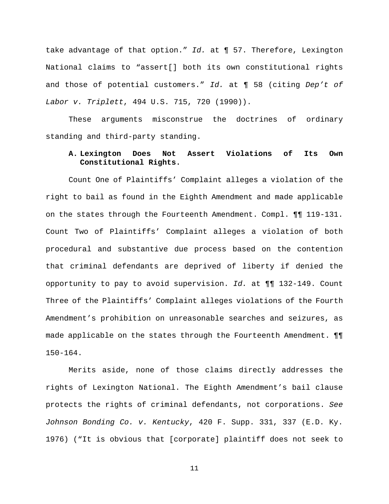take advantage of that option." *Id.* at ¶ 57. Therefore, Lexington National claims to "assert[] both its own constitutional rights and those of potential customers." *Id.* at ¶ 58 (citing *Dep't of Labor v. Triplett*, 494 U.S. 715, 720 (1990)).

These arguments misconstrue the doctrines of ordinary standing and third-party standing.

## **A. Lexington Does Not Assert Violations of Its Own Constitutional Rights.**

Count One of Plaintiffs' Complaint alleges a violation of the right to bail as found in the Eighth Amendment and made applicable on the states through the Fourteenth Amendment. Compl. ¶¶ 119-131. Count Two of Plaintiffs' Complaint alleges a violation of both procedural and substantive due process based on the contention that criminal defendants are deprived of liberty if denied the opportunity to pay to avoid supervision. *Id.* at ¶¶ 132-149. Count Three of the Plaintiffs' Complaint alleges violations of the Fourth Amendment's prohibition on unreasonable searches and seizures, as made applicable on the states through the Fourteenth Amendment. ¶¶ 150-164.

Merits aside, none of those claims directly addresses the rights of Lexington National. The Eighth Amendment's bail clause protects the rights of criminal defendants, not corporations. *See Johnson Bonding Co. v. Kentucky*, 420 F. Supp. 331, 337 (E.D. Ky. 1976) ("It is obvious that [corporate] plaintiff does not seek to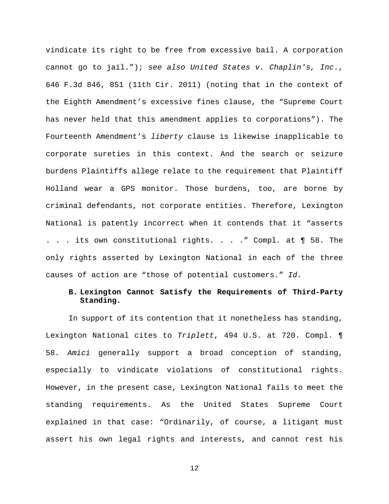vindicate its right to be free from excessive bail. A corporation cannot go to jail."); *see also United States v. Chaplin's, Inc*., 646 F.3d 846, 851 (11th Cir. 2011) (noting that in the context of the Eighth Amendment's excessive fines clause, the "Supreme Court has never held that this amendment applies to corporations"). The Fourteenth Amendment's *liberty* clause is likewise inapplicable to corporate sureties in this context. And the search or seizure burdens Plaintiffs allege relate to the requirement that Plaintiff Holland wear a GPS monitor. Those burdens, too, are borne by criminal defendants, not corporate entities. Therefore, Lexington National is patently incorrect when it contends that it "asserts . . . its own constitutional rights. . . ." Compl*.* at ¶ 58. The only rights asserted by Lexington National in each of the three causes of action are "those of potential customers." *Id.*

### **B. Lexington Cannot Satisfy the Requirements of Third-Party Standing.**

In support of its contention that it nonetheless has standing, Lexington National cites to *Triplett*, 494 U.S. at 720. Compl. ¶ 58. *Amici* generally support a broad conception of standing, especially to vindicate violations of constitutional rights. However, in the present case, Lexington National fails to meet the standing requirements. As the United States Supreme Court explained in that case: "Ordinarily, of course, a litigant must assert his own legal rights and interests, and cannot rest his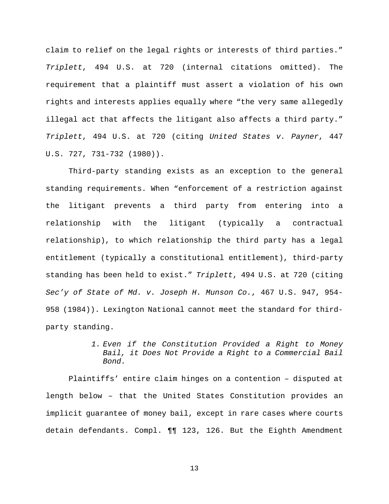claim to relief on the legal rights or interests of third parties." *Triplett*, 494 U.S. at 720 (internal citations omitted). The requirement that a plaintiff must assert a violation of his own rights and interests applies equally where "the very same allegedly illegal act that affects the litigant also affects a third party." *Triplett*, 494 U.S. at 720 (citing *United States v. Payner*, 447 U.S. 727, 731-732 (1980)).

Third-party standing exists as an exception to the general standing requirements. When "enforcement of a restriction against the litigant prevents a third party from entering into a relationship with the litigant (typically a contractual relationship), to which relationship the third party has a legal entitlement (typically a constitutional entitlement), third-party standing has been held to exist." *Triplett*, 494 U.S. at 720 (citing *Sec'y of State of Md. v. Joseph H. Munson Co.*, 467 U.S. 947, 954- 958 (1984)). Lexington National cannot meet the standard for thirdparty standing.

> *1. Even if the Constitution Provided a Right to Money Bail, it Does Not Provide a Right to a Commercial Bail Bond.*

Plaintiffs' entire claim hinges on a contention – disputed at length below – that the United States Constitution provides an implicit guarantee of money bail, except in rare cases where courts detain defendants. Compl. ¶¶ 123, 126. But the Eighth Amendment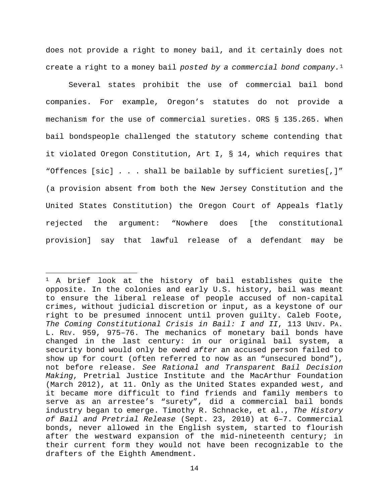does not provide a right to money bail, and it certainly does not create a right to a money bail *posted by a commercial bond company.*[1](#page-21-0)

Several states prohibit the use of commercial bail bond companies. For example, Oregon's statutes do not provide a mechanism for the use of commercial sureties. ORS § 135.265. When bail bondspeople challenged the statutory scheme contending that it violated Oregon Constitution, Art I, § 14, which requires that "Offences [sic] . . . shall be bailable by sufficient sureties[,]" (a provision absent from both the New Jersey Constitution and the United States Constitution) the Oregon Court of Appeals flatly rejected the argument: "Nowhere does [the constitutional provision] say that lawful release of a defendant may be

 $\overline{\phantom{a}}$ 

<span id="page-21-0"></span><sup>1</sup> A brief look at the history of bail establishes quite the opposite. In the colonies and early U.S. history, bail was meant to ensure the liberal release of people accused of non-capital crimes, without judicial discretion or input, as a keystone of our right to be presumed innocent until proven guilty. Caleb Foote, *The Coming Constitutional Crisis in Bail: I and II*, 113 UNIV. PA. L. REV. 959, 975–76. The mechanics of monetary bail bonds have changed in the last century: in our original bail system, a security bond would only be owed *after* an accused person failed to show up for court (often referred to now as an "unsecured bond"), not before release. *See Rational and Transparent Bail Decision Making*, Pretrial Justice Institute and the MacArthur Foundation (March 2012), at 11. Only as the United States expanded west, and it became more difficult to find friends and family members to serve as an arrestee's "surety", did a commercial bail bonds industry began to emerge. Timothy R. Schnacke, et al., *The History of Bail and Pretrial Release* (Sept. 23, 2010) at 6–7. Commercial bonds, never allowed in the English system, started to flourish after the westward expansion of the mid-nineteenth century; in their current form they would not have been recognizable to the drafters of the Eighth Amendment.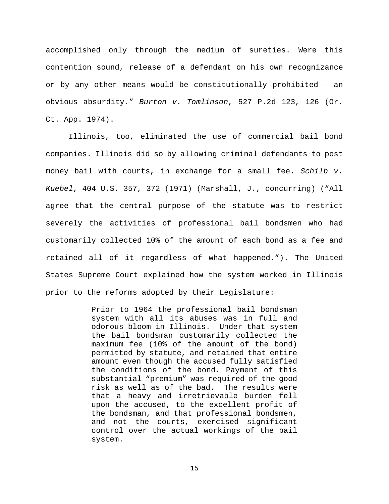accomplished only through the medium of sureties. Were this contention sound, release of a defendant on his own recognizance or by any other means would be constitutionally prohibited – an obvious absurdity." *Burton v. Tomlinson*, 527 P.2d 123, 126 (Or. Ct. App. 1974).

Illinois, too, eliminated the use of commercial bail bond companies. Illinois did so by allowing criminal defendants to post money bail with courts, in exchange for a small fee. *Schilb v. Kuebel*, 404 U.S. 357, 372 (1971) (Marshall, J., concurring) ("All agree that the central purpose of the statute was to restrict severely the activities of professional bail bondsmen who had customarily collected 10% of the amount of each bond as a fee and retained all of it regardless of what happened."). The United States Supreme Court explained how the system worked in Illinois prior to the reforms adopted by their Legislature:

> Prior to 1964 the professional bail bondsman system with all its abuses was in full and odorous bloom in Illinois. Under that system the bail bondsman customarily collected the maximum fee (10% of the amount of the bond) permitted by statute, and retained that entire amount even though the accused fully satisfied the conditions of the bond. Payment of this substantial "premium" was required of the good risk as well as of the bad. The results were that a heavy and irretrievable burden fell upon the accused, to the excellent profit of the bondsman, and that professional bondsmen, and not the courts, exercised significant control over the actual workings of the bail system.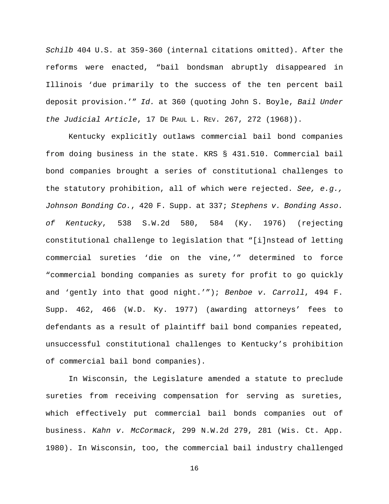*Schilb* 404 U.S. at 359-360 (internal citations omitted). After the reforms were enacted, "bail bondsman abruptly disappeared in Illinois 'due primarily to the success of the ten percent bail deposit provision.'" *Id.* at 360 (quoting John S. Boyle, *Bail Under the Judicial Article*, 17 DE PAUL L. REV. 267, 272 (1968)).

Kentucky explicitly outlaws commercial bail bond companies from doing business in the state. KRS § 431.510. Commercial bail bond companies brought a series of constitutional challenges to the statutory prohibition, all of which were rejected. *See, e.g., Johnson Bonding Co.*, 420 F. Supp. at 337; *Stephens v. Bonding Asso. of Kentucky*, 538 S.W.2d 580, 584 (Ky. 1976) (rejecting constitutional challenge to legislation that "[i]nstead of letting commercial sureties 'die on the vine,'" determined to force "commercial bonding companies as surety for profit to go quickly and 'gently into that good night.'"); *Benboe v. Carroll*, 494 F. Supp. 462, 466 (W.D. Ky. 1977) (awarding attorneys' fees to defendants as a result of plaintiff bail bond companies repeated, unsuccessful constitutional challenges to Kentucky's prohibition of commercial bail bond companies).

In Wisconsin, the Legislature amended a statute to preclude sureties from receiving compensation for serving as sureties, which effectively put commercial bail bonds companies out of business. *Kahn v. McCormack*, 299 N.W.2d 279, 281 (Wis. Ct. App. 1980). In Wisconsin, too, the commercial bail industry challenged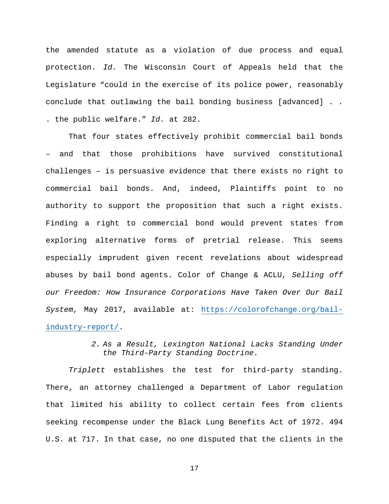the amended statute as a violation of due process and equal protection. *Id.* The Wisconsin Court of Appeals held that the Legislature "could in the exercise of its police power, reasonably conclude that outlawing the bail bonding business [advanced] . . . the public welfare." *Id.* at 282.

That four states effectively prohibit commercial bail bonds – and that those prohibitions have survived constitutional challenges – is persuasive evidence that there exists no right to commercial bail bonds. And, indeed, Plaintiffs point to no authority to support the proposition that such a right exists. Finding a right to commercial bond would prevent states from exploring alternative forms of pretrial release. This seems especially imprudent given recent revelations about widespread abuses by bail bond agents. Color of Change & ACLU, *Selling off our Freedom: How Insurance Corporations Have Taken Over Our Bail System*, May 2017, available at: [https://colorofchange.org/bail](https://colorofchange.org/bail-industry-report/)[industry-report/.](https://colorofchange.org/bail-industry-report/)

> *2. As a Result, Lexington National Lacks Standing Under the Third-Party Standing Doctrine.*

*Triplett* establishes the test for third-party standing. There, an attorney challenged a Department of Labor regulation that limited his ability to collect certain fees from clients seeking recompense under the Black Lung Benefits Act of 1972. 494 U.S. at 717. In that case, no one disputed that the clients in the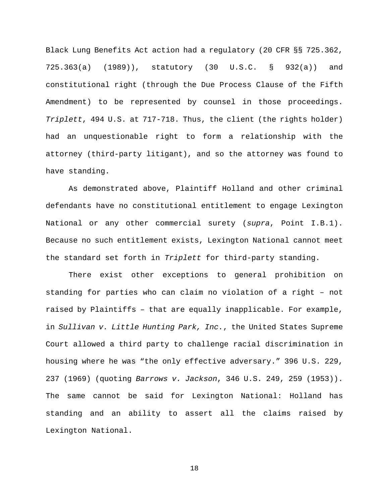Black Lung Benefits Act action had a regulatory (20 CFR §§ 725.362, 725.363(a) (1989)), statutory (30 U.S.C. § 932(a)) and constitutional right (through the Due Process Clause of the Fifth Amendment) to be represented by counsel in those proceedings. *Triplett*, 494 U.S. at 717-718. Thus, the client (the rights holder) had an unquestionable right to form a relationship with the attorney (third-party litigant), and so the attorney was found to have standing.

As demonstrated above, Plaintiff Holland and other criminal defendants have no constitutional entitlement to engage Lexington National or any other commercial surety (*supra*, Point I.B.1). Because no such entitlement exists, Lexington National cannot meet the standard set forth in *Triplett* for third-party standing.

There exist other exceptions to general prohibition on standing for parties who can claim no violation of a right – not raised by Plaintiffs – that are equally inapplicable. For example, in *Sullivan v. Little Hunting Park, Inc.*, the United States Supreme Court allowed a third party to challenge racial discrimination in housing where he was "the only effective adversary." 396 U.S. 229, 237 (1969) (quoting *Barrows v. Jackson*, 346 U.S. 249, 259 (1953)). The same cannot be said for Lexington National: Holland has standing and an ability to assert all the claims raised by Lexington National.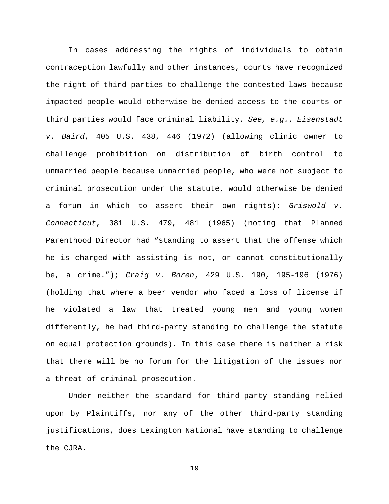In cases addressing the rights of individuals to obtain contraception lawfully and other instances, courts have recognized the right of third-parties to challenge the contested laws because impacted people would otherwise be denied access to the courts or third parties would face criminal liability. *See, e.g.*, *Eisenstadt v. Baird*, 405 U.S. 438, 446 (1972) (allowing clinic owner to challenge prohibition on distribution of birth control to unmarried people because unmarried people, who were not subject to criminal prosecution under the statute, would otherwise be denied a forum in which to assert their own rights); *Griswold v. Connecticut*, 381 U.S. 479, 481 (1965) (noting that Planned Parenthood Director had "standing to assert that the offense which he is charged with assisting is not, or cannot constitutionally be, a crime."); *Craig v. Boren*, 429 U.S. 190, 195-196 (1976) (holding that where a beer vendor who faced a loss of license if he violated a law that treated young men and young women differently, he had third-party standing to challenge the statute on equal protection grounds). In this case there is neither a risk that there will be no forum for the litigation of the issues nor a threat of criminal prosecution.

Under neither the standard for third-party standing relied upon by Plaintiffs, nor any of the other third-party standing justifications, does Lexington National have standing to challenge the CJRA.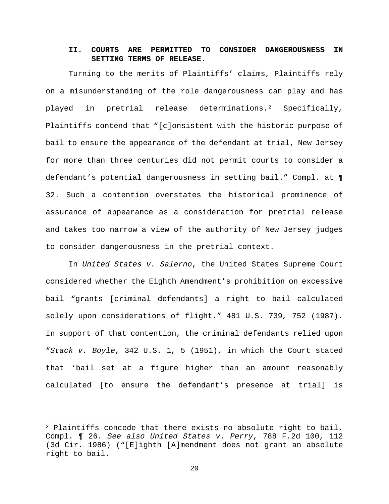## **II. COURTS ARE PERMITTED TO CONSIDER DANGEROUSNESS IN SETTING TERMS OF RELEASE.**

Turning to the merits of Plaintiffs' claims, Plaintiffs rely on a misunderstanding of the role dangerousness can play and has played in pretrial release determinations.[2](#page-27-0) Specifically, Plaintiffs contend that "[c]onsistent with the historic purpose of bail to ensure the appearance of the defendant at trial, New Jersey for more than three centuries did not permit courts to consider a defendant's potential dangerousness in setting bail." Compl. at ¶ 32. Such a contention overstates the historical prominence of assurance of appearance as a consideration for pretrial release and takes too narrow a view of the authority of New Jersey judges to consider dangerousness in the pretrial context.

In *United States v. Salerno*, the United States Supreme Court considered whether the Eighth Amendment's prohibition on excessive bail "grants [criminal defendants] a right to bail calculated solely upon considerations of flight." 481 U.S. 739*,* 752 (1987). In support of that contention, the criminal defendants relied upon "*Stack v. Boyle*, 342 U.S. 1, 5 (1951), in which the Court stated that 'bail set at a figure higher than an amount reasonably calculated [to ensure the defendant's presence at trial] is

 $\overline{a}$ 

<span id="page-27-0"></span> $2$  Plaintiffs concede that there exists no absolute right to bail. Compl. ¶ 26. *See also United States v. Perry*, 788 F.2d 100, 112 (3d Cir. 1986) ("[E]ighth [A]mendment does not grant an absolute right to bail.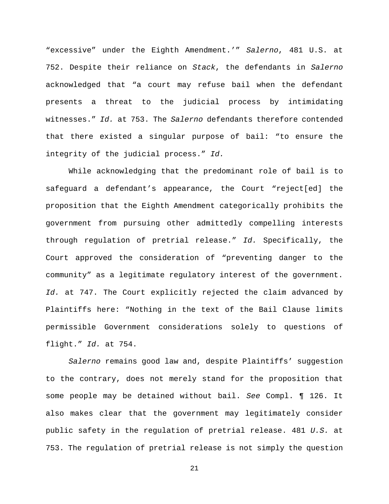"excessive" under the Eighth Amendment.'" *Salerno*, 481 U.S. at 752. Despite their reliance on *Stack*, the defendants in *Salerno*  acknowledged that "a court may refuse bail when the defendant presents a threat to the judicial process by intimidating witnesses." *Id.* at 753. The *Salerno* defendants therefore contended that there existed a singular purpose of bail: "to ensure the integrity of the judicial process." *Id.*

While acknowledging that the predominant role of bail is to safeguard a defendant's appearance, the Court "reject[ed] the proposition that the Eighth Amendment categorically prohibits the government from pursuing other admittedly compelling interests through regulation of pretrial release." *Id.* Specifically, the Court approved the consideration of "preventing danger to the community" as a legitimate regulatory interest of the government. *Id.* at 747. The Court explicitly rejected the claim advanced by Plaintiffs here: "Nothing in the text of the Bail Clause limits permissible Government considerations solely to questions of flight." *Id.* at 754.

*Salerno* remains good law and, despite Plaintiffs' suggestion to the contrary, does not merely stand for the proposition that some people may be detained without bail. *See* Compl. ¶ 126. It also makes clear that the government may legitimately consider public safety in the regulation of pretrial release. 481 *U.S.* at 753. The regulation of pretrial release is not simply the question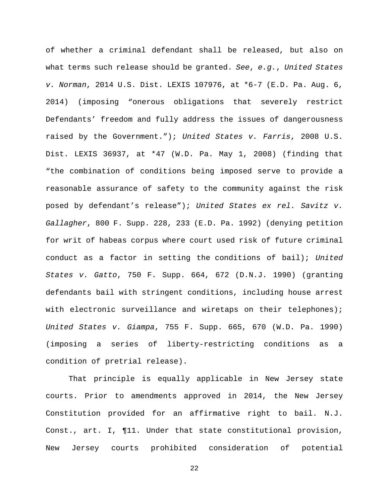of whether a criminal defendant shall be released, but also on what terms such release should be granted. *See*, *e.g.*, *United States v. Norman*, 2014 U.S. Dist. LEXIS 107976, at \*6-7 (E.D. Pa. Aug. 6, 2014) (imposing "onerous obligations that severely restrict Defendants' freedom and fully address the issues of dangerousness raised by the Government."); *United States v. Farris*, 2008 U.S. Dist. LEXIS 36937, at \*47 (W.D. Pa. May 1, 2008) (finding that "the combination of conditions being imposed serve to provide a reasonable assurance of safety to the community against the risk posed by defendant's release"); *United States ex rel. Savitz v. Gallagher*, 800 F. Supp. 228, 233 (E.D. Pa. 1992) (denying petition for writ of habeas corpus where court used risk of future criminal conduct as a factor in setting the conditions of bail); *United States v. Gatto*, 750 F. Supp. 664, 672 (D.N.J. 1990) (granting defendants bail with stringent conditions, including house arrest with electronic surveillance and wiretaps on their telephones); *United States v. Giampa*, 755 F. Supp. 665, 670 (W.D. Pa. 1990) (imposing a series of liberty-restricting conditions as a condition of pretrial release).

That principle is equally applicable in New Jersey state courts. Prior to amendments approved in 2014, the New Jersey Constitution provided for an affirmative right to bail. N.J. Const., art. I, ¶11. Under that state constitutional provision, New Jersey courts prohibited consideration of potential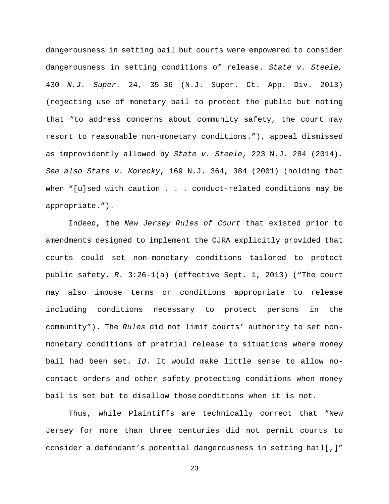dangerousness in setting bail but courts were empowered to consider dangerousness in setting conditions of release. *State v. Steele,*  430 *N.J. Super.* 24, 35-36 (N.J. Super. Ct. App. Div. 2013) (rejecting use of monetary bail to protect the public but noting that "to address concerns about community safety, the court may resort to reasonable non-monetary conditions."), appeal dismissed as improvidently allowed by *State v. Steele*, 223 N.J. 284 (2014). *See also State v. Korecky*, 169 N.J. 364, 384 (2001) (holding that when "[u]sed with caution . . . conduct-related conditions may be appropriate.").

Indeed, the *New Jersey Rules of Court* that existed prior to amendments designed to implement the CJRA explicitly provided that courts could set non-monetary conditions tailored to protect public safety. *R.* 3:26-1(a) (effective Sept. 1, 2013) ("The court may also impose terms or conditions appropriate to release including conditions necessary to protect persons in the community"). The *Rules* did not limit courts' authority to set nonmonetary conditions of pretrial release to situations where money bail had been set. *Id.* It would make little sense to allow nocontact orders and other safety-protecting conditions when money bail is set but to disallow those conditions when it is not.

Thus, while Plaintiffs are technically correct that "New Jersey for more than three centuries did not permit courts to consider a defendant's potential dangerousness in setting bail[,]"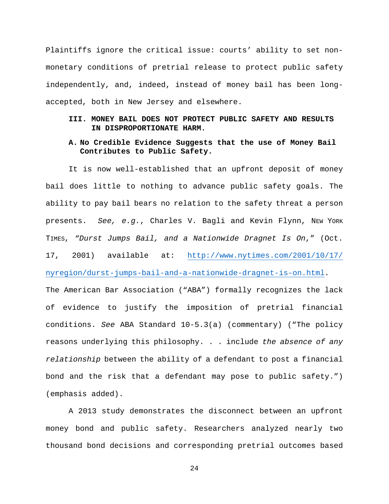Plaintiffs ignore the critical issue: courts' ability to set nonmonetary conditions of pretrial release to protect public safety independently, and, indeed, instead of money bail has been longaccepted, both in New Jersey and elsewhere.

## **III. MONEY BAIL DOES NOT PROTECT PUBLIC SAFETY AND RESULTS IN DISPROPORTIONATE HARM.**

### **A. No Credible Evidence Suggests that the use of Money Bail Contributes to Public Safety.**

It is now well-established that an upfront deposit of money bail does little to nothing to advance public safety goals. The ability to pay bail bears no relation to the safety threat a person presents. *See, e.g.*, Charles V. Bagli and Kevin Flynn, NEW YORK TIMES, *"Durst Jumps Bail, and a Nationwide Dragnet Is On*," (Oct. 17, 2001) available at: [http://www.nytimes.com/2001/10/17/](http://www.nytimes.com/2001/10/17/%20nyregion/durst-jumps-bail-and-a-nationwide-dragnet-is-on.html) [nyregion/durst-jumps-bail-and-a-nationwide-dragnet-is-on.html.](http://www.nytimes.com/2001/10/17/%20nyregion/durst-jumps-bail-and-a-nationwide-dragnet-is-on.html) The American Bar Association ("ABA") formally recognizes the lack of evidence to justify the imposition of pretrial financial conditions. *See* ABA Standard 10-5.3(a) (commentary) ("The policy reasons underlying this philosophy. . . include *the absence of any relationship* between the ability of a defendant to post a financial bond and the risk that a defendant may pose to public safety.") (emphasis added).

A 2013 study demonstrates the disconnect between an upfront money bond and public safety. Researchers analyzed nearly two thousand bond decisions and corresponding pretrial outcomes based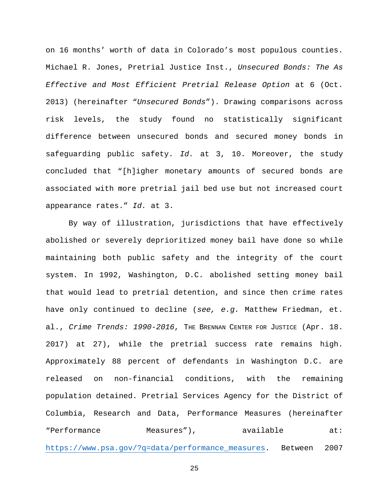on 16 months' worth of data in Colorado's most populous counties. Michael R. Jones, Pretrial Justice Inst., *Unsecured Bonds: The As Effective and Most Efficient Pretrial Release Option* at 6 (Oct. 2013) (hereinafter "*Unsecured Bonds*"). Drawing comparisons across risk levels, the study found no statistically significant difference between unsecured bonds and secured money bonds in safeguarding public safety. *Id.* at 3, 10. Moreover, the study concluded that "[h]igher monetary amounts of secured bonds are associated with more pretrial jail bed use but not increased court appearance rates." *Id.* at 3.

By way of illustration, jurisdictions that have effectively abolished or severely deprioritized money bail have done so while maintaining both public safety and the integrity of the court system. In 1992, Washington, D.C. abolished setting money bail that would lead to pretrial detention, and since then crime rates have only continued to decline (*see, e.g.* Matthew Friedman, et. al., *Crime Trends: 1990-2016*, THE BRENNAN CENTER FOR JUSTICE (Apr. 18. 2017) at 27), while the pretrial success rate remains high. Approximately 88 percent of defendants in Washington D.C. are released on non-financial conditions, with the remaining population detained. Pretrial Services Agency for the District of Columbia, Research and Data, Performance Measures (hereinafter "Performance Measures"), available at: [https://www.psa.gov/?q=data/performance\\_measures.](https://www.psa.gov/?q=data/performance_measures) Between 2007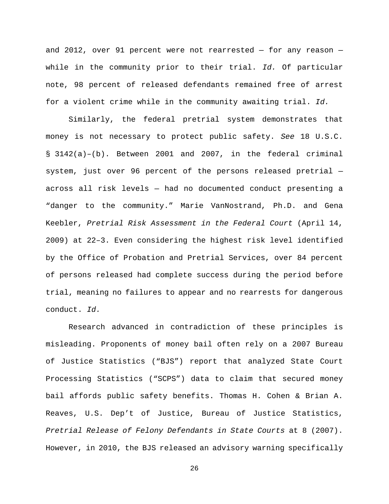and 2012, over 91 percent were not rearrested  $-$  for any reason  $$ while in the community prior to their trial. *Id.* Of particular note, 98 percent of released defendants remained free of arrest for a violent crime while in the community awaiting trial. *Id.*

Similarly, the federal pretrial system demonstrates that money is not necessary to protect public safety. *See* 18 U.S.C. § 3142(a)–(b). Between 2001 and 2007, in the federal criminal system, just over 96 percent of the persons released pretrial across all risk levels — had no documented conduct presenting a "danger to the community." Marie VanNostrand, Ph.D. and Gena Keebler, *Pretrial Risk Assessment in the Federal Court* (April 14, 2009) at 22–3. Even considering the highest risk level identified by the Office of Probation and Pretrial Services, over 84 percent of persons released had complete success during the period before trial, meaning no failures to appear and no rearrests for dangerous conduct. *Id.*

Research advanced in contradiction of these principles is misleading. Proponents of money bail often rely on a 2007 Bureau of Justice Statistics ("BJS") report that analyzed State Court Processing Statistics ("SCPS") data to claim that secured money bail affords public safety benefits. Thomas H. Cohen & Brian A. Reaves, U.S. Dep't of Justice, Bureau of Justice Statistics, *Pretrial Release of Felony Defendants in State Courts* at 8 (2007). However, in 2010, the BJS released an advisory warning specifically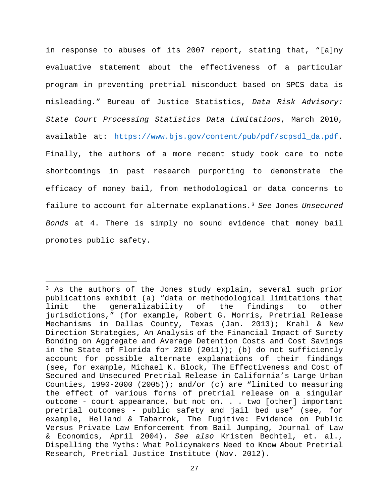in response to abuses of its 2007 report, stating that, "[a]ny evaluative statement about the effectiveness of a particular program in preventing pretrial misconduct based on SPCS data is misleading." Bureau of Justice Statistics, *Data Risk Advisory: State Court Processing Statistics Data Limitations*, March 2010, available at: [https://www.bjs.gov/content/pub/pdf/scpsdl\\_da.pdf.](https://www.bjs.gov/content/pub/pdf/scpsdl_da.pdf) Finally, the authors of a more recent study took care to note shortcomings in past research purporting to demonstrate the efficacy of money bail, from methodological or data concerns to failure to account for alternate explanations.[3](#page-34-0) *See* Jones *Unsecured Bonds* at 4. There is simply no sound evidence that money bail promotes public safety.

 $\overline{\phantom{a}}$ 

<span id="page-34-0"></span><sup>&</sup>lt;sup>3</sup> As the authors of the Jones study explain, several such prior publications exhibit (a) "data or methodological limitations that limit the generalizability of the findings to other jurisdictions," (for example, Robert G. Morris, Pretrial Release Mechanisms in Dallas County, Texas (Jan. 2013); Krahl & New Direction Strategies, An Analysis of the Financial Impact of Surety Bonding on Aggregate and Average Detention Costs and Cost Savings in the State of Florida for 2010 (2011)); (b) do not sufficiently account for possible alternate explanations of their findings (see, for example, Michael K. Block, The Effectiveness and Cost of Secured and Unsecured Pretrial Release in California's Large Urban Counties, 1990-2000 (2005)); and/or (c) are "limited to measuring the effect of various forms of pretrial release on a singular outcome - court appearance, but not on. . . two [other] important pretrial outcomes - public safety and jail bed use" (see, for example, Helland & Tabarrok, The Fugitive: Evidence on Public Versus Private Law Enforcement from Bail Jumping, Journal of Law & Economics, April 2004). *See also* Kristen Bechtel, et. al., Dispelling the Myths: What Policymakers Need to Know About Pretrial Research, Pretrial Justice Institute (Nov. 2012).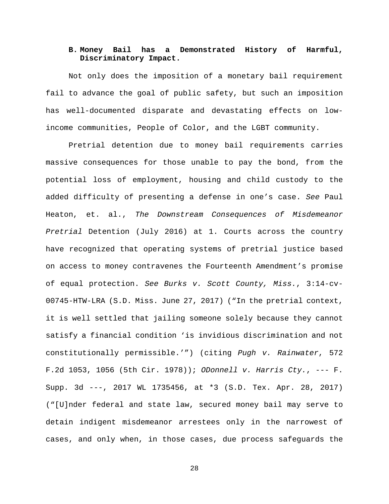### **B. Money Bail has a Demonstrated History of Harmful, Discriminatory Impact.**

Not only does the imposition of a monetary bail requirement fail to advance the goal of public safety, but such an imposition has well-documented disparate and devastating effects on lowincome communities, People of Color, and the LGBT community.

Pretrial detention due to money bail requirements carries massive consequences for those unable to pay the bond, from the potential loss of employment, housing and child custody to the added difficulty of presenting a defense in one's case. *See* Paul Heaton, et. al., *The Downstream Consequences of Misdemeanor Pretrial* Detention (July 2016) at 1. Courts across the country have recognized that operating systems of pretrial justice based on access to money contravenes the Fourteenth Amendment's promise of equal protection. *See Burks v. Scott County, Miss.*, 3:14-cv-00745-HTW-LRA (S.D. Miss. June 27, 2017) ("In the pretrial context, it is well settled that jailing someone solely because they cannot satisfy a financial condition 'is invidious discrimination and not constitutionally permissible.'") (citing *Pugh v. Rainwater*, 572 F.2d 1053, 1056 (5th Cir. 1978)); *ODonnell v. Harris Cty.*, --- F. Supp. 3d ---, 2017 WL 1735456, at \*3 (S.D. Tex. Apr. 28, 2017) ("[U]nder federal and state law, secured money bail may serve to detain indigent misdemeanor arrestees only in the narrowest of cases, and only when, in those cases, due process safeguards the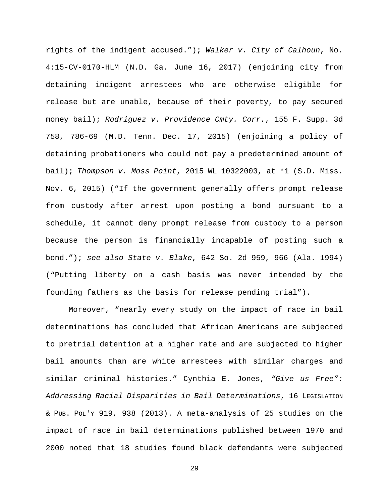rights of the indigent accused."); *Walker v. City of Calhoun*, No. 4:15-CV-0170-HLM (N.D. Ga. June 16, 2017) (enjoining city from detaining indigent arrestees who are otherwise eligible for release but are unable, because of their poverty, to pay secured money bail); *Rodriguez v. Providence Cmty. Corr.*, 155 F. Supp. 3d 758, 786-69 (M.D. Tenn. Dec. 17, 2015) (enjoining a policy of detaining probationers who could not pay a predetermined amount of bail); *Thompson v. Moss Point*, 2015 WL 10322003, at \*1 (S.D. Miss. Nov. 6, 2015) ("If the government generally offers prompt release from custody after arrest upon posting a bond pursuant to a schedule, it cannot deny prompt release from custody to a person because the person is financially incapable of posting such a bond."); *see also State v. Blake*, 642 So. 2d 959, 966 (Ala. 1994) ("Putting liberty on a cash basis was never intended by the founding fathers as the basis for release pending trial").

Moreover, "nearly every study on the impact of race in bail determinations has concluded that African Americans are subjected to pretrial detention at a higher rate and are subjected to higher bail amounts than are white arrestees with similar charges and similar criminal histories." Cynthia E. Jones, *"Give us Free": Addressing Racial Disparities in Bail Determinations*, 16 LEGISLATION & PUB. POL'Y 919, 938 (2013). A meta-analysis of 25 studies on the impact of race in bail determinations published between 1970 and 2000 noted that 18 studies found black defendants were subjected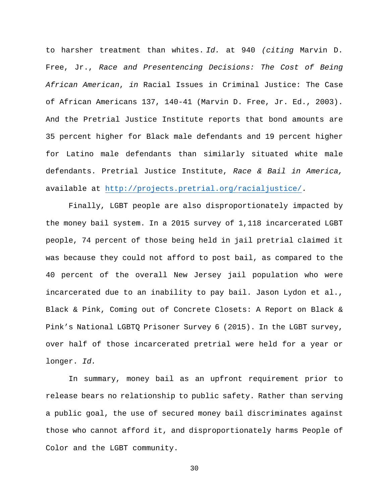to harsher treatment than whites. *Id.* at 940 *(citing* Marvin D. Free, Jr., *Race and Presentencing Decisions: The Cost of Being African American*, *in* Racial Issues in Criminal Justice: The Case of African Americans 137, 140-41 (Marvin D. Free, Jr. Ed., 2003). And the Pretrial Justice Institute reports that bond amounts are 35 percent higher for Black male defendants and 19 percent higher for Latino male defendants than similarly situated white male defendants. Pretrial Justice Institute, *Race & Bail in America,* available at [http://projects.pretrial.org/racialjustice/.](http://projects.pretrial.org/racialjustice/)

Finally, LGBT people are also disproportionately impacted by the money bail system. In a 2015 survey of 1,118 incarcerated LGBT people, 74 percent of those being held in jail pretrial claimed it was because they could not afford to post bail, as compared to the 40 percent of the overall New Jersey jail population who were incarcerated due to an inability to pay bail. Jason Lydon et al., Black & Pink, Coming out of Concrete Closets: A Report on Black & Pink's National LGBTQ Prisoner Survey 6 (2015). In the LGBT survey, over half of those incarcerated pretrial were held for a year or longer. *Id.*

In summary, money bail as an upfront requirement prior to release bears no relationship to public safety. Rather than serving a public goal, the use of secured money bail discriminates against those who cannot afford it, and disproportionately harms People of Color and the LGBT community.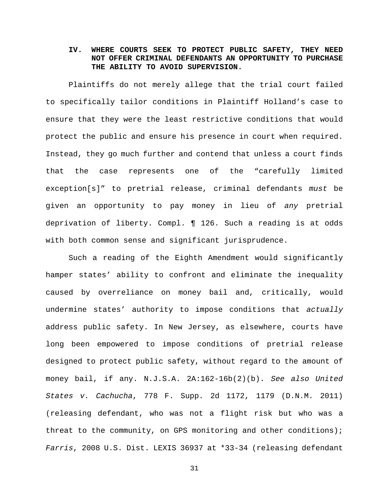## **IV. WHERE COURTS SEEK TO PROTECT PUBLIC SAFETY, THEY NEED NOT OFFER CRIMINAL DEFENDANTS AN OPPORTUNITY TO PURCHASE THE ABILITY TO AVOID SUPERVISION.**

Plaintiffs do not merely allege that the trial court failed to specifically tailor conditions in Plaintiff Holland's case to ensure that they were the least restrictive conditions that would protect the public and ensure his presence in court when required. Instead, they go much further and contend that unless a court finds that the case represents one of the "carefully limited exception[s]" to pretrial release, criminal defendants *must* be given an opportunity to pay money in lieu of *any* pretrial deprivation of liberty. Compl. ¶ 126. Such a reading is at odds with both common sense and significant jurisprudence.

Such a reading of the Eighth Amendment would significantly hamper states' ability to confront and eliminate the inequality caused by overreliance on money bail and, critically, would undermine states' authority to impose conditions that *actually*  address public safety. In New Jersey, as elsewhere, courts have long been empowered to impose conditions of pretrial release designed to protect public safety, without regard to the amount of money bail, if any. N.J.S.A. 2A:162-16b(2)(b). *See also United States v. Cachucha*, 778 F. Supp. 2d 1172, 1179 (D.N.M. 2011) (releasing defendant, who was not a flight risk but who was a threat to the community, on GPS monitoring and other conditions); *Farris*, 2008 U.S. Dist. LEXIS 36937 at \*33-34 (releasing defendant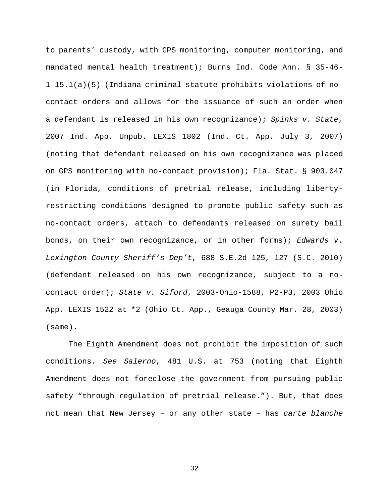to parents' custody, with GPS monitoring, computer monitoring, and mandated mental health treatment); Burns Ind. Code Ann. § 35-46- 1-15.1(a)(5) (Indiana criminal statute prohibits violations of nocontact orders and allows for the issuance of such an order when a defendant is released in his own recognizance); *Spinks v. State*, 2007 Ind. App. Unpub. LEXIS 1802 (Ind. Ct. App. July 3, 2007) (noting that defendant released on his own recognizance was placed on GPS monitoring with no-contact provision); Fla. Stat. § 903.047 (in Florida, conditions of pretrial release, including libertyrestricting conditions designed to promote public safety such as no-contact orders, attach to defendants released on surety bail bonds, on their own recognizance, or in other forms); *Edwards v. Lexington County Sheriff's Dep't*, 688 S.E.2d 125, 127 (S.C. 2010) (defendant released on his own recognizance, subject to a nocontact order); *State v. Siford*, 2003-Ohio-1588, P2-P3, 2003 Ohio App. LEXIS 1522 at \*2 (Ohio Ct. App., Geauga County Mar. 28, 2003) (same).

The Eighth Amendment does not prohibit the imposition of such conditions. *See Salerno*, 481 U.S. at 753 (noting that Eighth Amendment does not foreclose the government from pursuing public safety "through regulation of pretrial release."). But, that does not mean that New Jersey – or any other state – has *carte blanche*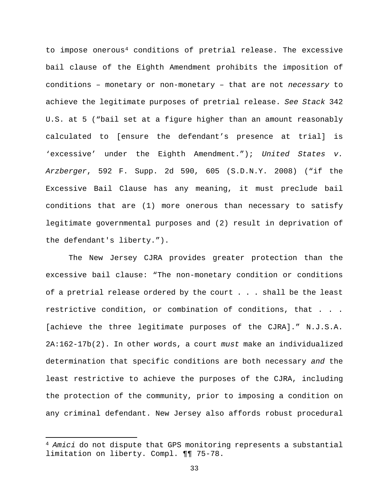to impose onerous[4](#page-40-0) conditions of pretrial release. The excessive bail clause of the Eighth Amendment prohibits the imposition of conditions – monetary or non-monetary – that are not *necessary* to achieve the legitimate purposes of pretrial release. *See Stack* 342 U.S. at 5 ("bail set at a figure higher than an amount reasonably calculated to [ensure the defendant's presence at trial] is 'excessive' under the Eighth Amendment."); *United States v. Arzberger*, 592 F. Supp. 2d 590, 605 (S.D.N.Y. 2008) ("if the Excessive Bail Clause has any meaning, it must preclude bail conditions that are (1) more onerous than necessary to satisfy legitimate governmental purposes and (2) result in deprivation of the defendant's liberty.").

The New Jersey CJRA provides greater protection than the excessive bail clause: "The non-monetary condition or conditions of a pretrial release ordered by the court . . . shall be the least restrictive condition, or combination of conditions, that . . . [achieve the three legitimate purposes of the CJRA]." N.J.S.A. 2A:162-17b(2). In other words, a court *must* make an individualized determination that specific conditions are both necessary *and* the least restrictive to achieve the purposes of the CJRA, including the protection of the community, prior to imposing a condition on any criminal defendant. New Jersey also affords robust procedural

l

<span id="page-40-0"></span><sup>4</sup> *Amici* do not dispute that GPS monitoring represents a substantial limitation on liberty. Compl. ¶¶ 75-78.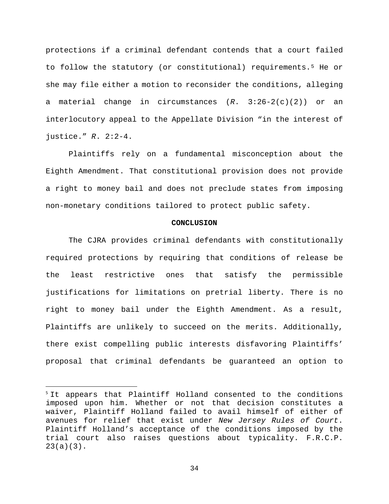protections if a criminal defendant contends that a court failed to follow the statutory (or constitutional) requirements.[5](#page-41-0) He or she may file either a motion to reconsider the conditions, alleging a material change in circumstances (*R*. 3:26-2(c)(2)) or an interlocutory appeal to the Appellate Division "in the interest of justice." *R*. 2:2-4.

Plaintiffs rely on a fundamental misconception about the Eighth Amendment. That constitutional provision does not provide a right to money bail and does not preclude states from imposing non-monetary conditions tailored to protect public safety.

#### **CONCLUSION**

The CJRA provides criminal defendants with constitutionally required protections by requiring that conditions of release be the least restrictive ones that satisfy the permissible justifications for limitations on pretrial liberty. There is no right to money bail under the Eighth Amendment. As a result, Plaintiffs are unlikely to succeed on the merits. Additionally, there exist compelling public interests disfavoring Plaintiffs' proposal that criminal defendants be guaranteed an option to

<span id="page-41-0"></span><sup>&</sup>lt;sup>5</sup> It appears that Plaintiff Holland consented to the conditions imposed upon him. Whether or not that decision constitutes a waiver, Plaintiff Holland failed to avail himself of either of avenues for relief that exist under *New Jersey Rules of Court*. Plaintiff Holland's acceptance of the conditions imposed by the trial court also raises questions about typicality. F.R.C.P. 23(a)(3).